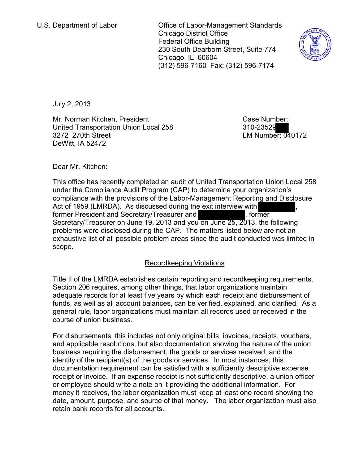U.S. Department of Labor **Concernent Concernent Standards** Chicago District Office Federal Office Building 230 South Dearborn Street, Suite 774 Chicago, IL 60604 (312) 596-7160 Fax: (312) 596-7174



July 2, 2013

Mr. Norman Kitchen, President United Transportation Union Local 258 3272 270th Street DeWitt, IA 52472

Case Number: 310-23529 LM Number: 040172

Dear Mr. Kitchen:

This office has recently completed an audit of United Transportation Union Local 258 under the Compliance Audit Program (CAP) to determine your organization's compliance with the provisions of the Labor-Management Reporting and Disclosure Act of 1959 (LMRDA). As discussed during the exit interview with former President and Secretary/Treasurer and , former Secretary/Treasurer on June 19, 2013 and you on June 25, 2013, the following problems were disclosed during the CAP. The matters listed below are not an exhaustive list of all possible problem areas since the audit conducted was limited in scope.

# Recordkeeping Violations

Title II of the LMRDA establishes certain reporting and recordkeeping requirements. Section 206 requires, among other things, that labor organizations maintain adequate records for at least five years by which each receipt and disbursement of funds, as well as all account balances, can be verified, explained, and clarified. As a general rule, labor organizations must maintain all records used or received in the course of union business.

For disbursements, this includes not only original bills, invoices, receipts, vouchers, and applicable resolutions, but also documentation showing the nature of the union business requiring the disbursement, the goods or services received, and the identity of the recipient(s) of the goods or services. In most instances, this documentation requirement can be satisfied with a sufficiently descriptive expense receipt or invoice. If an expense receipt is not sufficiently descriptive, a union officer or employee should write a note on it providing the additional information. For money it receives, the labor organization must keep at least one record showing the date, amount, purpose, and source of that money. The labor organization must also retain bank records for all accounts.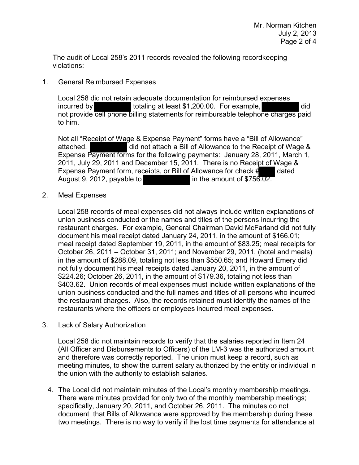The audit of Local 258's 2011 records revealed the following recordkeeping violations:

## 1. General Reimbursed Expenses

Local 258 did not retain adequate documentation for reimbursed expenses incurred by totaling at least \$1,200.00. For example, not provide cell phone billing statements for reimbursable telephone charges paid to him.

Not all "Receipt of Wage & Expense Payment" forms have a "Bill of Allowance" attached. did not attach a Bill of Allowance to the Receipt of Wage & Expense Payment forms for the following payments: January 28, 2011, March 1, 2011, July 29, 2011 and December 15, 2011. There is no Receipt of Wage & Expense Payment form, receipts, or Bill of Allowance for check # dated August 9, 2012, payable to in the amount of \$756.02.

### 2. Meal Expenses

Local 258 records of meal expenses did not always include written explanations of union business conducted or the names and titles of the persons incurring the restaurant charges. For example, General Chairman David McFarland did not fully document his meal receipt dated January 24, 2011, in the amount of \$166.01; meal receipt dated September 19, 2011, in the amount of \$83.25; meal receipts for October 26, 2011 – October 31, 2011; and November 29, 2011, (hotel and meals) in the amount of \$288.09, totaling not less than \$550.65; and Howard Emery did not fully document his meal receipts dated January 20, 2011, in the amount of \$224.26; October 26, 2011, in the amount of \$179.36, totaling not less than \$403.62. Union records of meal expenses must include written explanations of the union business conducted and the full names and titles of all persons who incurred the restaurant charges. Also, the records retained must identify the names of the restaurants where the officers or employees incurred meal expenses.

3. Lack of Salary Authorization

Local 258 did not maintain records to verify that the salaries reported in Item 24 (All Officer and Disbursements to Officers) of the LM-3 was the authorized amount and therefore was correctly reported. The union must keep a record, such as meeting minutes, to show the current salary authorized by the entity or individual in the union with the authority to establish salaries.

4. The Local did not maintain minutes of the Local's monthly membership meetings. There were minutes provided for only two of the monthly membership meetings; specifically, January 20, 2011, and October 26, 2011. The minutes do not document that Bills of Allowance were approved by the membership during these two meetings. There is no way to verify if the lost time payments for attendance at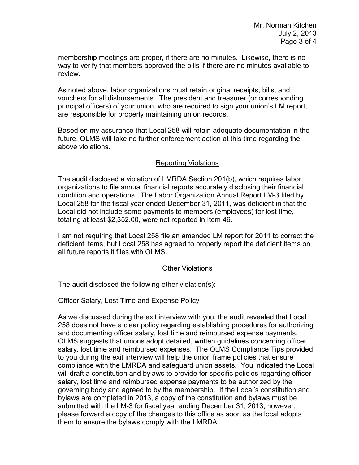membership meetings are proper, if there are no minutes. Likewise, there is no way to verify that members approved the bills if there are no minutes available to review.

As noted above, labor organizations must retain original receipts, bills, and vouchers for all disbursements. The president and treasurer (or corresponding principal officers) of your union, who are required to sign your union's LM report, are responsible for properly maintaining union records.

Based on my assurance that Local 258 will retain adequate documentation in the future, OLMS will take no further enforcement action at this time regarding the above violations.

#### Reporting Violations

The audit disclosed a violation of LMRDA Section 201(b), which requires labor organizations to file annual financial reports accurately disclosing their financial condition and operations. The Labor Organization Annual Report LM-3 filed by Local 258 for the fiscal year ended December 31, 2011, was deficient in that the Local did not include some payments to members (employees) for lost time, totaling at least \$2,352.00, were not reported in Item 46.

I am not requiring that Local 258 file an amended LM report for 2011 to correct the deficient items, but Local 258 has agreed to properly report the deficient items on all future reports it files with OLMS.

#### Other Violations

The audit disclosed the following other violation(s):

Officer Salary, Lost Time and Expense Policy

As we discussed during the exit interview with you, the audit revealed that Local 258 does not have a clear policy regarding establishing procedures for authorizing and documenting officer salary, lost time and reimbursed expense payments. OLMS suggests that unions adopt detailed, written guidelines concerning officer salary, lost time and reimbursed expenses. The OLMS Compliance Tips provided to you during the exit interview will help the union frame policies that ensure compliance with the LMRDA and safeguard union assets. You indicated the Local will draft a constitution and bylaws to provide for specific policies regarding officer salary, lost time and reimbursed expense payments to be authorized by the governing body and agreed to by the membership. If the Local's constitution and bylaws are completed in 2013, a copy of the constitution and bylaws must be submitted with the LM-3 for fiscal year ending December 31, 2013; however, please forward a copy of the changes to this office as soon as the local adopts them to ensure the bylaws comply with the LMRDA.